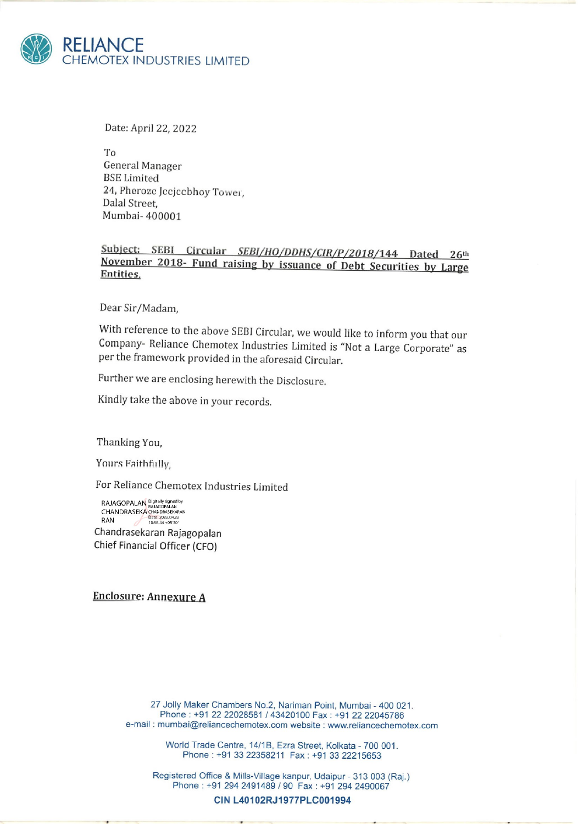

Date: April 22, 2022

To General Manager BSE Limited 24, Pheroze Jecjecbhoy Tower, Dalal Street, Mumbai- 400001

## Subject: SEBI Circular SEBI/HO/DDHS/CIR/P/2018/144 Dated 26<sup>th</sup> November 2018- Fund raising by issuance of Debt Securities by Large Entities.

Dear Sir/Madam,

With reference to the above SEBI Circular, we would like to inform you that our Company- Reliance Chemotex Industries Limited is "Not a Large Corporate" as per the framework provided in the aforesaid Circular.

Further we are enclosing herewith the Disclosure.

Kindly take the above in your records.

Thanking You,

Yours Faithfully,

For Reliance Chemotex Industries Limited

RAJAGOPALAN <sup>Digitally signed by</sup><br>CHANDRASEKA CHANDRASEKARAN<br>RAN Date: 2022.04.22<br>10:58:44 +05'30' Chandrasekaran Rajagopalan Chief Financial Officer (CFO)

Enclosure; Annexure A

27 Jolly Maker Chambers No.2, Nariman Point, Mumbai - 400 021. Phone : +91 22 22028581 / 43420100 Fax : +91 22 22045786 e-mail : mumbai@reliancechemotex.com website : www.reliancechemotex.com

> World Trade Centre, 14/1B, Ezra Street, Kolkata - 700 001. Phone : +91 33 22358211 Fax: +91 33 22215653

Registered Office & Mills-Village kanpur, Udaipur - 313 003 (Raj.) Phone : +91 294 2491489 / 90 Fax : +91 294 2490067

CIN L40102RJ1977PLC001994